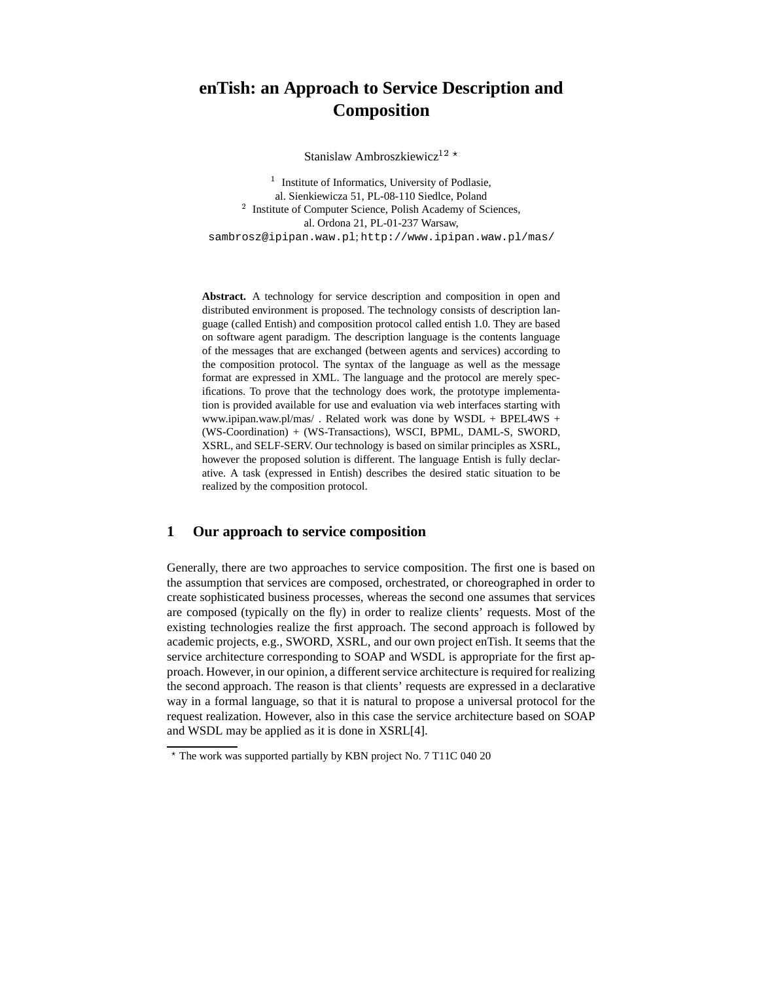## **enTish: an Approach to Service Description and Composition**

Stanislaw Ambroszkiewicz $^{12}$  \*

<sup>1</sup> Institute of Informatics, University of Podlasie, al. Sienkiewicza 51, PL-08-110 Siedlce, Poland <sup>2</sup> Institute of Computer Science, Polish Academy of Sciences, al. Ordona 21, PL-01-237 Warsaw, sambrosz@ipipan.waw.pl; http://www.ipipan.waw.pl/mas/

**Abstract.** A technology for service description and composition in open and distributed environment is proposed. The technology consists of description language (called Entish) and composition protocol called entish 1.0. They are based on software agent paradigm. The description language is the contents language of the messages that are exchanged (between agents and services) according to the composition protocol. The syntax of the language as well as the message format are expressed in XML. The language and the protocol are merely specifications. To prove that the technology does work, the prototype implementation is provided available for use and evaluation via web interfaces starting with www.ipipan.waw.pl/mas/ . Related work was done by WSDL + BPEL4WS + (WS-Coordination) + (WS-Transactions), WSCI, BPML, DAML-S, SWORD, XSRL, and SELF-SERV. Our technology is based on similar principles as XSRL, however the proposed solution is different. The language Entish is fully declarative. A task (expressed in Entish) describes the desired static situation to be realized by the composition protocol.

## **1 Our approach to service composition**

Generally, there are two approaches to service composition. The first one is based on the assumption that services are composed, orchestrated, or choreographed in order to create sophisticated business processes, whereas the second one assumes that services are composed (typically on the fly) in order to realize clients' requests. Most of the existing technologies realize the first approach. The second approach is followed by academic projects, e.g., SWORD, XSRL, and our own project enTish. It seems that the service architecture corresponding to SOAP and WSDL is appropriate for the first approach. However, in our opinion, a different service architecture is required for realizing the second approach. The reason is that clients' requests are expressed in a declarative way in a formal language, so that it is natural to propose a universal protocol for the request realization. However, also in this case the service architecture based on SOAP and WSDL may be applied as it is done in XSRL[4].

The work was supported partially by KBN project No. 7 T11C 040 20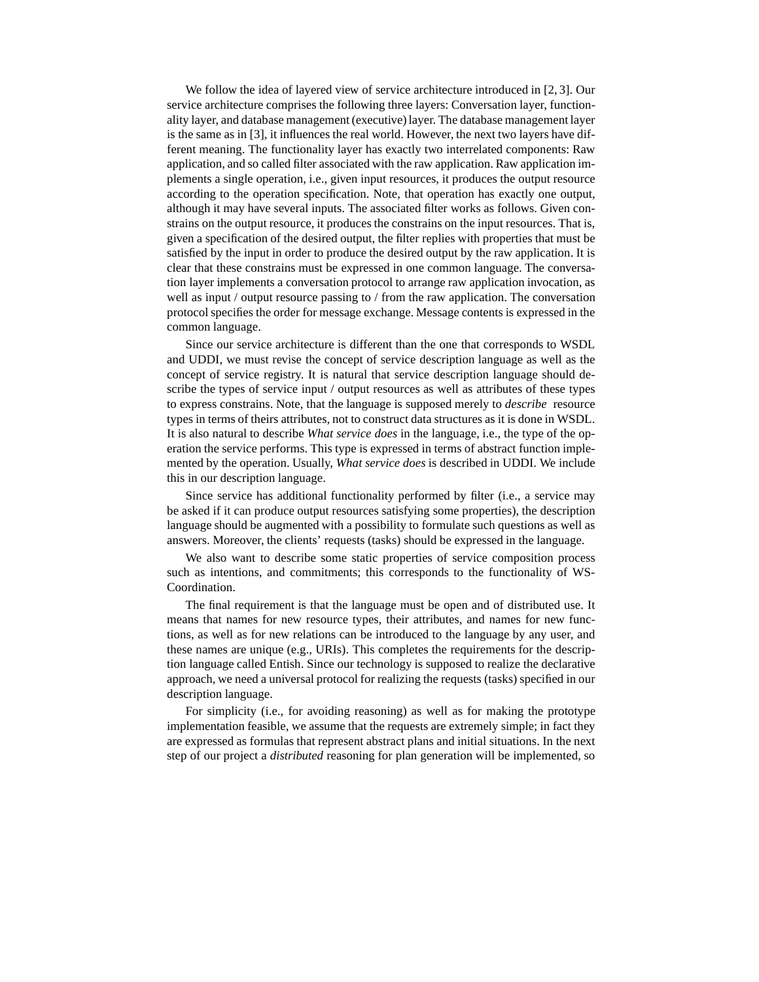We follow the idea of layered view of service architecture introduced in [2, 3]. Our service architecture comprises the following three layers: Conversation layer, functionality layer, and database management (executive)layer. The database management layer is the same as in [3], it influences the real world. However, the next two layers have different meaning. The functionality layer has exactly two interrelated components: Raw application, and so called filter associated with the raw application. Raw application implements a single operation, i.e., given input resources, it produces the output resource according to the operation specification. Note, that operation has exactly one output, although it may have several inputs. The associated filter works as follows. Given constrains on the output resource, it produces the constrains on the input resources. That is, given a specification of the desired output, the filter replies with properties that must be satisfied by the input in order to produce the desired output by the raw application. It is clear that these constrains must be expressed in one common language. The conversation layer implements a conversation protocol to arrange raw application invocation, as well as input / output resource passing to / from the raw application. The conversation protocol specifies the order for message exchange. Message contents is expressed in the common language.

Since our service architecture is different than the one that corresponds to WSDL and UDDI, we must revise the concept of service description language as well as the concept of service registry. It is natural that service description language should describe the types of service input / output resources as well as attributes of these types to express constrains. Note, that the language is supposed merely to *describe* resource types in terms of theirs attributes, not to construct data structures as it is done in WSDL. It is also natural to describe *What service does* in the language, i.e., the type of the operation the service performs. This type is expressed in terms of abstract function implemented by the operation. Usually, *What service does* is described in UDDI. We include this in our description language.

Since service has additional functionality performed by filter (i.e., a service may be asked if it can produce output resources satisfying some properties), the description language should be augmented with a possibility to formulate such questions as well as answers. Moreover, the clients' requests (tasks) should be expressed in the language.

We also want to describe some static properties of service composition process such as intentions, and commitments; this corresponds to the functionality of WS-Coordination.

The final requirement is that the language must be open and of distributed use. It means that names for new resource types, their attributes, and names for new functions, as well as for new relations can be introduced to the language by any user, and these names are unique (e.g., URIs). This completes the requirements for the description language called Entish. Since our technology is supposed to realize the declarative approach, we need a universal protocol for realizing the requests (tasks) specified in our description language.

For simplicity (i.e., for avoiding reasoning) as well as for making the prototype implementation feasible, we assume that the requests are extremely simple; in fact they are expressed as formulas that represent abstract plans and initial situations. In the next step of our project a *distributed* reasoning for plan generation will be implemented, so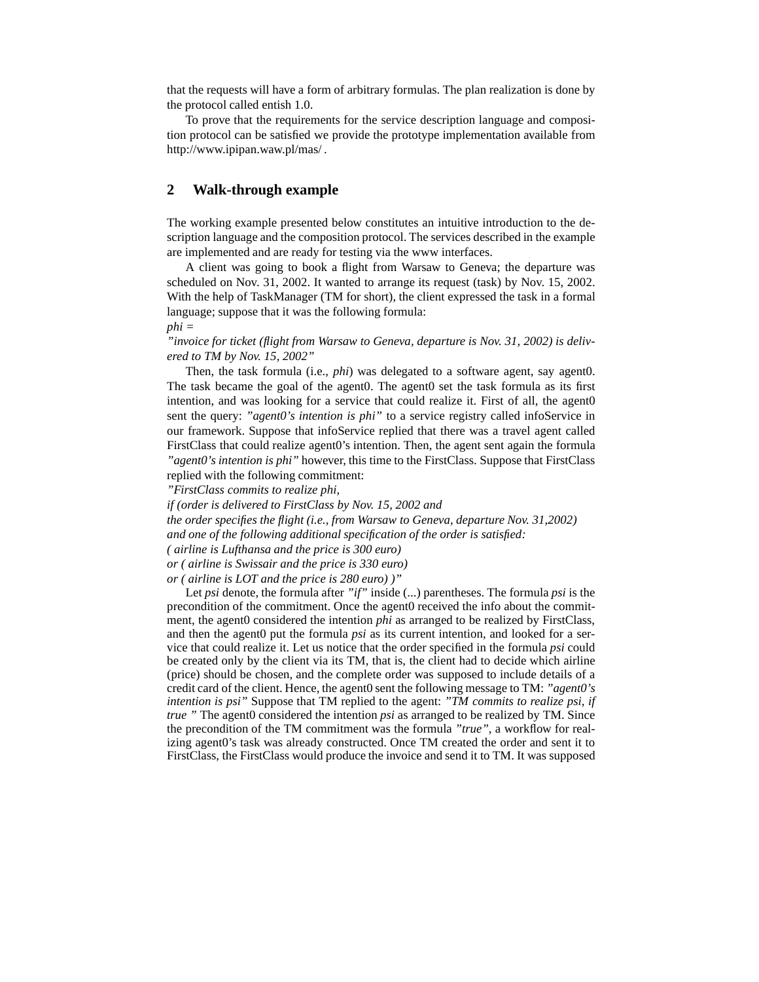that the requests will have a form of arbitrary formulas. The plan realization is done by the protocol called entish 1.0.

To prove that the requirements for the service description language and composition protocol can be satisfied we provide the prototype implementation available from http://www.ipipan.waw.pl/mas/ .

## **2 Walk-through example**

The working example presented below constitutes an intuitive introduction to the description language and the composition protocol. The services described in the example are implemented and are ready for testing via the www interfaces.

A client was going to book a flight from Warsaw to Geneva; the departure was scheduled on Nov. 31, 2002. It wanted to arrange its request (task) by Nov. 15, 2002. With the help of TaskManager (TM for short), the client expressed the task in a formal language; suppose that it was the following formula: *phi =*

*"invoice for ticket (flight from Warsaw to Geneva, departure is Nov. 31, 2002) is delivered to TM by Nov. 15, 2002"*

Then, the task formula (i.e., *phi*) was delegated to a software agent, say agent0. The task became the goal of the agent0. The agent0 set the task formula as its first intention, and was looking for a service that could realize it. First of all, the agent0 sent the query: *"agent0's intention is phi"* to a service registry called infoService in our framework. Suppose that infoService replied that there was a travel agent called FirstClass that could realize agent0's intention. Then, the agent sent again the formula *"agent0's intention is phi"* however, this time to the FirstClass. Suppose that FirstClass replied with the following commitment:

*"FirstClass commits to realize phi,*

*if (order is delivered to FirstClass by Nov. 15, 2002 and*

*the order specifies the flight (i.e., from Warsaw to Geneva, departure Nov. 31,2002) and one of the following additional specification of the order is satisfied:*

*( airline is Lufthansa and the price is 300 euro)*

*or ( airline is Swissair and the price is 330 euro)*

*or ( airline is LOT and the price is 280 euro) )"*

Let *psi* denote, the formula after *"if"* inside (...) parentheses. The formula *psi* is the precondition of the commitment. Once the agent0 received the info about the commitment, the agent0 considered the intention *phi* as arranged to be realized by FirstClass, and then the agent0 put the formula *psi* as its current intention, and looked for a service that could realize it. Let us notice that the order specified in the formula *psi* could be created only by the client via its TM, that is, the client had to decide which airline (price) should be chosen, and the complete order was supposed to include details of a credit card of the client. Hence, the agent0 sent the following message to TM: *"agent0's intention is psi"* Suppose that TM replied to the agent: *"TM commits to realize psi, if true* " The agent0 considered the intention *psi* as arranged to be realized by TM. Since the precondition of the TM commitment was the formula *"true"*, a workflow for realizing agent0's task was already constructed. Once TM created the order and sent it to FirstClass, the FirstClass would produce the invoice and send it to TM. It was supposed